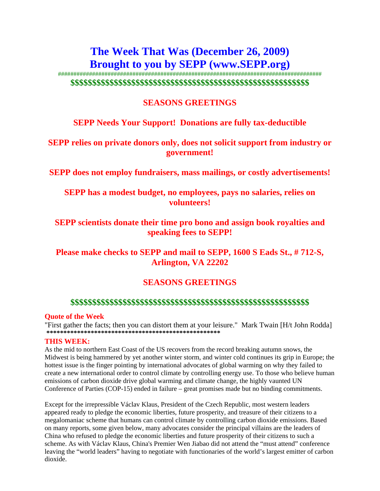# **The Week That Was (December 26, 2009) Brought to you by SEPP (www.SEPP.org)**

##################################################################################### **\$\$\$\$\$\$\$\$\$\$\$\$\$\$\$\$\$\$\$\$\$\$\$\$\$\$\$\$\$\$\$\$\$\$\$\$\$\$\$\$\$\$\$\$\$\$\$\$\$\$\$\$\$\$\$** 

### **SEASONS GREETINGS**

### **SEPP Needs Your Support! Donations are fully tax-deductible**

**SEPP relies on private donors only, does not solicit support from industry or government!** 

**SEPP does not employ fundraisers, mass mailings, or costly advertisements!** 

### **SEPP has a modest budget, no employees, pays no salaries, relies on volunteers!**

**SEPP scientists donate their time pro bono and assign book royalties and speaking fees to SEPP!** 

### **Please make checks to SEPP and mail to SEPP, 1600 S Eads St., # 712-S, Arlington, VA 22202**

## **SEASONS GREETINGS**

### **\$\$\$\$\$\$\$\$\$\$\$\$\$\$\$\$\$\$\$\$\$\$\$\$\$\$\$\$\$\$\$\$\$\$\$\$\$\$\$\$\$\$\$\$\$\$\$\$\$\$\$\$\$\$\$**

#### **Quote of the Week**

"First gather the facts; then you can distort them at your leisure." Mark Twain [H/t John Rodda]  **\*\*\*\*\*\*\*\*\*\*\*\*\*\*\*\*\*\*\*\*\*\*\*\*\*\*\*\*\*\*\*\*\*\*\*\*\*\*\*\*\*\*\*\*\*\*\*\*\*\*\*** 

#### **THIS WEEK:**

As the mid to northern East Coast of the US recovers from the record breaking autumn snows, the Midwest is being hammered by yet another winter storm, and winter cold continues its grip in Europe; the hottest issue is the finger pointing by international advocates of global warming on why they failed to create a new international order to control climate by controlling energy use. To those who believe human emissions of carbon dioxide drive global warming and climate change, the highly vaunted UN Conference of Parties (COP-15) ended in failure – great promises made but no binding commitments.

Except for the irrepressible Václav Klaus, President of the Czech Republic, most western leaders appeared ready to pledge the economic liberties, future prosperity, and treasure of their citizens to a megalomaniac scheme that humans can control climate by controlling carbon dioxide emissions. Based on many reports, some given below, many advocates consider the principal villains are the leaders of China who refused to pledge the economic liberties and future prosperity of their citizens to such a scheme. As with Václav Klaus, China's Premier Wen Jiabao did not attend the "must attend" conference leaving the "world leaders" having to negotiate with functionaries of the world's largest emitter of carbon dioxide.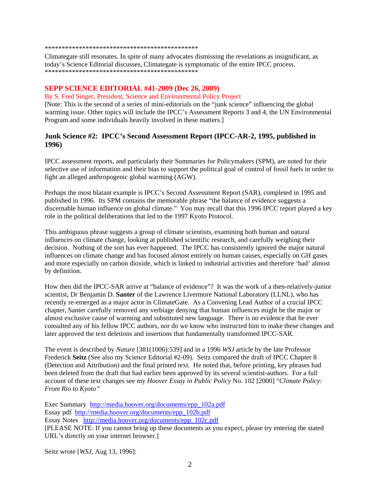#### \*\*\*\*\*\*\*\*\*\*\*\*\*\*\*\*\*\*\*\*\*\*\*\*\*\*\*\*\*\*\*\*\*\*\*\*\*\*\*\*\*\*\*\*\*

Climategate still resonates. In spite of many advocates dismissing the revelations as insignificant, as today's Science Editorial discusses, Climategate is symptomatic of the entire IPCC process. \*\*\*\*\*\*\*\*\*\*\*\*\*\*\*\*\*\*\*\*\*\*\*\*\*\*\*\*\*\*\*\*\*\*\*\*\*\*\*\*\*\*\*\*\*

#### **SEPP SCIENCE EDITORIAL #41-2009 (Dec 26, 2009)**

By S. Fred Singer, President, Science and Environmental Policy Project

[Note: This is the second of a series of mini-editorials on the "junk science" influencing the global warming issue. Other topics will include the IPCC's Assessment Reports 3 and 4, the UN Environmental Program and some individuals heavily involved in these matters.]

#### **Junk Science #2: IPCC's Second Assessment Report (IPCC-AR-2, 1995, published in 1996)**

IPCC assessment reports, and particularly their Summaries for Policymakers (SPM), are noted for their selective use of information and their bias to support the political goal of control of fossil fuels in order to fight an alleged anthropogenic global warming (AGW).

Perhaps the most blatant example is IPCC's Second Assessment Report (SAR), completed in 1995 and published in 1996. Its SPM contains the memorable phrase "the balance of evidence suggests a discernable human influence on global climate." You may recall that this 1996 IPCC report played a key role in the political deliberations that led to the 1997 Kyoto Protocol.

This ambiguous phrase suggests a group of climate scientists, examining both human and natural influences on climate change, looking at published scientific research, and carefully weighing their decision. Nothing of the sort has ever happened. The IPCC has consistently ignored the major natural influences on climate change and has focused almost entirely on human causes, especially on GH gases and more especially on carbon dioxide, which is linked to industrial activities and therefore 'bad' almost by definition.

How then did the IPCC-SAR arrive at "balance of evidence"? It was the work of a then-relatively-junior scientist, Dr Benjamin D. **Santer** of the Lawrence Livermore National Laboratory (LLNL), who has recently re-emerged as a major actor in ClimateGate. As a Convening Lead Author of a crucial IPCC chapter, Santer carefully removed any verbiage denying that human influences might be the major or almost exclusive cause of warming and substituted new language. There is no evidence that he ever consulted any of his fellow IPCC authors, nor do we know who instructed him to make these changes and later approved the text deletions and insertions that fundamentally transformed IPCC-SAR.

The event is described by *Nature* [381(1006):539] and in a 1996 *WSJ* article by the late Professor Frederick **Seitz** (See also my Science Editorial #2-09). Seitz compared the draft of IPCC Chapter 8 (Detection and Attribution) and the final printed text. He noted that, before printing, key phrases had been deleted from the draft that had earlier been approved by its several scientist-authors. For a full account of these text changes see my *Hoover Essay in Public Policy* No. 102 [2000] "*Climate Policy: From Rio to Kyoto"*

Exec Summary http://media.hoover.org/documents/epp\_102a.pdf Essay pdf http://media.hoover.org/documents/epp\_102b.pdf Essay Notes http://media.hoover.org/documents/epp\_102c.pdf [PLEASE NOTE: If you cannot bring up these documents as you expect, please try entering the stated URL's directly on your internet browser.]

Seitz wrote [*WSJ*, Aug 13, 1996]: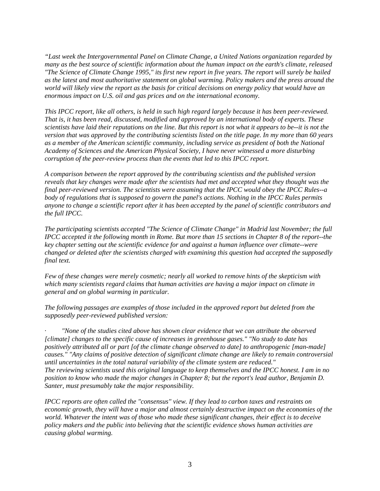*"Last week the Intergovernmental Panel on Climate Change, a United Nations organization regarded by many as the best source of scientific information about the human impact on the earth's climate, released "The Science of Climate Change 1995," its first new report in five years. The report will surely be hailed as the latest and most authoritative statement on global warming. Policy makers and the press around the world will likely view the report as the basis for critical decisions on energy policy that would have an enormous impact on U.S. oil and gas prices and on the international economy.* 

*This IPCC report, like all others, is held in such high regard largely because it has been peer-reviewed. That is, it has been read, discussed, modified and approved by an international body of experts. These scientists have laid their reputations on the line. But this report is not what it appears to be--it is not the version that was approved by the contributing scientists listed on the title page. In my more than 60 years as a member of the American scientific community, including service as president of both the National Academy of Sciences and the American Physical Society, I have never witnessed a more disturbing corruption of the peer-review process than the events that led to this IPCC report.* 

*A comparison between the report approved by the contributing scientists and the published version reveals that key changes were made after the scientists had met and accepted what they thought was the final peer-reviewed version. The scientists were assuming that the IPCC would obey the IPCC Rules--a body of regulations that is supposed to govern the panel's actions. Nothing in the IPCC Rules permits anyone to change a scientific report after it has been accepted by the panel of scientific contributors and the full IPCC.* 

*The participating scientists accepted "The Science of Climate Change" in Madrid last November; the full IPCC accepted it the following month in Rome. But more than 15 sections in Chapter 8 of the report--the key chapter setting out the scientific evidence for and against a human influence over climate--were changed or deleted after the scientists charged with examining this question had accepted the supposedly final text.* 

*Few of these changes were merely cosmetic; nearly all worked to remove hints of the skepticism with which many scientists regard claims that human activities are having a major impact on climate in general and on global warming in particular.* 

*The following passages are examples of those included in the approved report but deleted from the supposedly peer-reviewed published version:* 

· *"None of the studies cited above has shown clear evidence that we can attribute the observed [climate] changes to the specific cause of increases in greenhouse gases." "No study to date has positively attributed all or part [of the climate change observed to date] to anthropogenic [man-made] causes." "Any claims of positive detection of significant climate change are likely to remain controversial until uncertainties in the total natural variability of the climate system are reduced." The reviewing scientists used this original language to keep themselves and the IPCC honest. I am in no position to know who made the major changes in Chapter 8; but the report's lead author, Benjamin D. Santer, must presumably take the major responsibility.* 

*IPCC reports are often called the "consensus" view. If they lead to carbon taxes and restraints on economic growth, they will have a major and almost certainly destructive impact on the economies of the world. Whatever the intent was of those who made these significant changes, their effect is to deceive policy makers and the public into believing that the scientific evidence shows human activities are causing global warming.*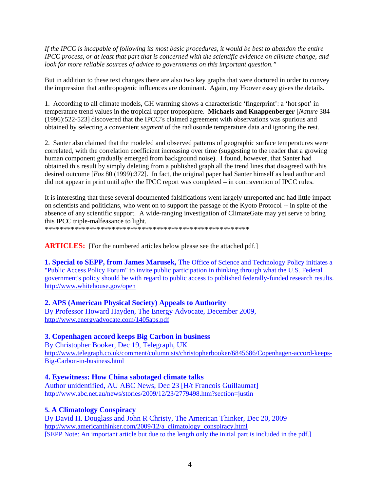*If the IPCC is incapable of following its most basic procedures, it would be best to abandon the entire IPCC process, or at least that part that is concerned with the scientific evidence on climate change, and look for more reliable sources of advice to governments on this important question."* 

But in addition to these text changes there are also two key graphs that were doctored in order to convey the impression that anthropogenic influences are dominant. Again, my Hoover essay gives the details.

1. According to all climate models, GH warming shows a characteristic 'fingerprint': a 'hot spot' in temperature trend values in the tropical upper troposphere. **Michaels and Knappenberger** [*Nature* 384 (1996):522-523] discovered that the IPCC's claimed agreement with observations was spurious and obtained by selecting a convenient *segment* of the radiosonde temperature data and ignoring the rest.

2. Santer also claimed that the modeled and observed patterns of geographic surface temperatures were correlated, with the correlation coefficient increasing over time (suggesting to the reader that a growing human component gradually emerged from background noise). I found, however, that Santer had obtained this result by simply deleting from a published graph all the trend lines that disagreed with his desired outcome [*Eos* 80 (1999):372]. In fact, the original paper had Santer himself as lead author and did not appear in print until *after* the IPCC report was completed – in contravention of IPCC rules.

It is interesting that these several documented falsifications went largely unreported and had little impact on scientists and politicians, who went on to support the passage of the Kyoto Protocol -- in spite of the absence of any scientific support. A wide-ranging investigation of ClimateGate may yet serve to bring this IPCC triple-malfeasance to light.

\*\*\*\*\*\*\*\*\*\*\*\*\*\*\*\*\*\*\*\*\*\*\*\*\*\*\*\*\*\*\*\*\*\*\*\*\*\*\*\*\*\*\*\*\*\*\*\*\*\*\*\*\*\*\*

**ARTICLES:** [For the numbered articles below please see the attached pdf.]

**1. Special to SEPP, from James Marusek,** The Office of Science and Technology Policy initiates a "Public Access Policy Forum" to invite public participation in thinking through what the U.S. Federal government's policy should be with regard to public access to published federally-funded research results. http://www.whitehouse.gov/open

#### **2. APS (American Physical Society) Appeals to Authority**

By Professor Howard Hayden, The Energy Advocate, December 2009, http://www.energyadvocate.com/1405aps.pdf

#### **3. Copenhagen accord keeps Big Carbon in business**

By Christopher Booker, Dec 19, Telegraph, UK http://www.telegraph.co.uk/comment/columnists/christopherbooker/6845686/Copenhagen-accord-keeps-Big-Carbon-in-business.html

#### **4. Eyewitness: How China sabotaged climate talks**

Author unidentified, AU ABC News, Dec 23 [H/t Francois Guillaumat] http://www.abc.net.au/news/stories/2009/12/23/2779498.htm?section=justin

#### **5. A Climatology Conspiracy**

By David H. Douglass and John R Christy, The American Thinker, Dec 20, 2009 http://www.americanthinker.com/2009/12/a\_climatology\_conspiracy.html [SEPP Note: An important article but due to the length only the initial part is included in the pdf.]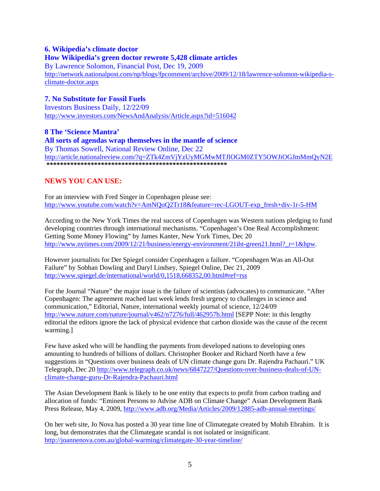#### **6. Wikipedia's climate doctor**

#### **How Wikipedia's green doctor rewrote 5,428 climate articles**

By Lawrence Solomon, Financial Post, Dec 19, 2009 http://network.nationalpost.com/np/blogs/fpcomment/archive/2009/12/18/lawrence-solomon-wikipedia-sclimate-doctor.aspx

#### **7. No Substitute for Fossil Fuels**

Investors Business Daily, 12/22/09 http://www.investors.com/NewsAndAnalysis/Article.aspx?id=516042

**8 The 'Science Mantra' All sorts of agendas wrap themselves in the mantle of science**  By Thomas Sowell, National Review Online, Dec 22 http://article.nationalreview.com/?q=ZTk4ZmVjYzUyMGMwMTJlOGM0ZTY5OWJiOGJmMmQyN2E  **\*\*\*\*\*\*\*\*\*\*\*\*\*\*\*\*\*\*\*\*\*\*\*\*\*\*\*\*\*\*\*\*\*\*\*\*\*\*\*\*\*\*\*\*\*\*\*\*\*\*\*\*\*** 

### **NEWS YOU CAN USE:**

For an interview with Fred Singer in Copenhagen please see: http://www.youtube.com/watch?v=AmNQoQ2Tr18&feature=rec-LGOUT-exp\_fresh+div-1r-5-HM

According to the New York Times the real success of Copenhagen was Western nations pledging to fund developing countries through international mechanisms. "Copenhagen's One Real Accomplishment: Getting Some Money Flowing" by James Kanter, New York Times, Dec 20 http://www.nytimes.com/2009/12/21/business/energy-environment/21iht-green21.html? $r=1$ &hpw.

However journalists for Der Spiegel consider Copenhagen a failure. "Copenhagen Was an All-Out Failure" by Sobhan Dowling and Daryl Lindsey, Spiegel Online, Dec 21, 2009 http://www.spiegel.de/international/world/0,1518,668352,00.html#ref=rss

For the Journal "Nature" the major issue is the failure of scientists (advocates) to communicate. "After Copenhagen: The agreement reached last week lends fresh urgency to challenges in science and communication," Editorial, Nature, international weekly journal of science, 12/24/09 http://www.nature.com/nature/journal/v462/n7276/full/462957b.html [SEPP Note: in this lengthy editorial the editors ignore the lack of physical evidence that carbon dioxide was the cause of the recent warming.]

Few have asked who will be handling the payments from developed nations to developing ones amounting to hundreds of billions of dollars. Christopher Booker and Richard North have a few suggestions in "Questions over business deals of UN climate change guru Dr. Rajendra Pachauri." UK Telegraph, Dec 20 http://www.telegraph.co.uk/news/6847227/Questions-over-business-deals-of-UNclimate-change-guru-Dr-Rajendra-Pachauri.html

The Asian Development Bank is likely to be one entity that expects to profit from carbon trading and allocation of funds: "Eminent Persons to Advise ADB on Climate Change" Asian Development Bank Press Release, May 4, 2009, http://www.adb.org/Media/Articles/2009/12885-adb-annual-meetings/

On her web site, Jo Nova has posted a 30 year time line of Climategate created by Mohib Ebrahim. It is long, but demonstrates that the Climategate scandal is not isolated or insignificant. http://joannenova.com.au/global-warming/climategate-30-year-timeline/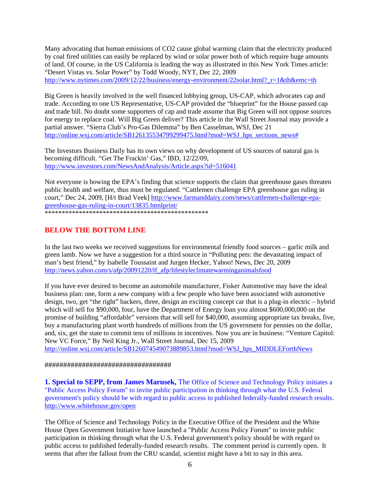Many advocating that human emissions of CO2 cause global warming claim that the electricity produced by coal fired utilities can easily be replaced by wind or solar power both of which require huge amounts of land. Of course, in the US California is leading the way as illustrated in this New York Times article: "Desert Vistas vs. Solar Power" by Todd Woody, NYT, Dec 22, 2009 http://www.nytimes.com/2009/12/22/business/energy-environment/22solar.html?\_r=1&th&emc=th

Big Green is heavily involved in the well financed lobbying group, US-CAP, which advocates cap and trade. According to one US Representative, US-CAP provided the "blueprint" for the House passed cap and trade bill. No doubt some supporters of cap and trade assume that Big Green will not oppose sources for energy to replace coal. Will Big Green deliver? This article in the Wall Street Journal may provide a partial answer. "Sierra Club's Pro-Gas Dilemma" by Ben Casselman, WSJ, Dec 21 http://online.wsj.com/article/SB126135534799299475.html?mod=WSJ\_hps\_sections\_news#

The Investors Business Daily has its own views on why development of US sources of natural gas is becoming difficult. "Get The Frackin' Gas," IBD, 12/22/09, http://www.investors.com/NewsAndAnalysis/Article.aspx?id=516041

Not everyone is bowing the EPA's finding that science supports the claim that greenhouse gases threaten public health and welfare, thus must be regulated. "Cattlemen challenge EPA greenhouse gas ruling in court," Dec 24, 2009, [H/t Brad Veek] http://www.farmanddairy.com/news/cattlemen-challenge-epagreenhouse-gas-ruling-in-court/13835.htmlprint/ \*\*\*\*\*\*\*\*\*\*\*\*\*\*\*\*\*\*\*\*\*\*\*\*\*\*\*\*\*\*\*\*\*\*\*\*\*\*\*\*\*\*\*\*\*\*\*\*

### **BELOW THE BOTTOM LINE**

In the last two weeks we received suggestions for environmental friendly food sources – garlic milk and green lamb. Now we have a suggestion for a third source in "Polluting pets: the devastating impact of man's best friend," by Isabelle Toussaint and Jurgen Hecker, Yahoo! News, Dec 20, 2009 http://news.yahoo.com/s/afp/20091220/lf\_afp/lifestyleclimatewarminganimalsfood

If you have ever desired to become an automobile manufacturer, Fisker Automotive may have the ideal business plan: one, form a new company with a few people who have been associated with automotive design, two, get "the right" backers, three, design an exciting concept car that is a plug-in electric – hybrid which will sell for \$90,000, four, have the Department of Energy loan you almost \$600,000,000 on the promise of building "affordable" versions that will sell for \$40,000, assuming appropriate tax breaks, five, buy a manufacturing plant worth hundreds of millions from the US government for pennies on the dollar, and, six, get the state to commit tens of millions in incentives. Now you are in business: "Venture Capitol: New VC Force," By Neil King Jr., Wall Street Journal, Dec 15, 2009 http://online.wsj.com/article/SB126074549073889853.html?mod=WSJ\_hps\_MIDDLEForthNews

#### ##################################

**1. Special to SEPP, from James Marusek,** The Office of Science and Technology Policy initiates a "Public Access Policy Forum" to invite public participation in thinking through what the U.S. Federal government's policy should be with regard to public access to published federally-funded research results. http://www.whitehouse.gov/open

The Office of Science and Technology Policy in the Executive Office of the President and the White House Open Government Initiative have launched a "Public Access Policy Forum" to invite public participation in thinking through what the U.S. Federal government's policy should be with regard to public access to published federally-funded research results. The comment period is currently open. It seems that after the fallout from the CRU scandal, scientist might have a bit to say in this area.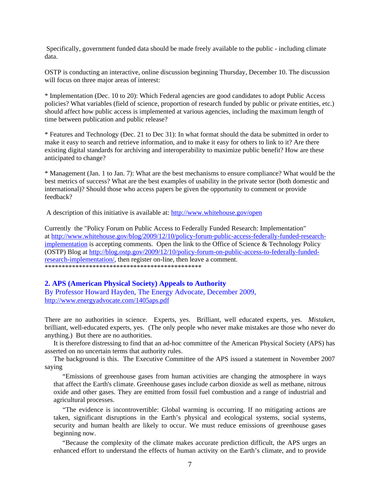Specifically, government funded data should be made freely available to the public - including climate data.

OSTP is conducting an interactive, online discussion beginning Thursday, December 10. The discussion will focus on three major areas of interest:

\* Implementation (Dec. 10 to 20): Which Federal agencies are good candidates to adopt Public Access policies? What variables (field of science, proportion of research funded by public or private entities, etc.) should affect how public access is implemented at various agencies, including the maximum length of time between publication and public release?

\* Features and Technology (Dec. 21 to Dec 31): In what format should the data be submitted in order to make it easy to search and retrieve information, and to make it easy for others to link to it? Are there existing digital standards for archiving and interoperability to maximize public benefit? How are these anticipated to change?

\* Management (Jan. 1 to Jan. 7): What are the best mechanisms to ensure compliance? What would be the best metrics of success? What are the best examples of usability in the private sector (both domestic and international)? Should those who access papers be given the opportunity to comment or provide feedback?

A description of this initiative is available at: http://www.whitehouse.gov/open

Currently the "Policy Forum on Public Access to Federally Funded Research: Implementation" at http://www.whitehouse.gov/blog/2009/12/10/policy-forum-public-access-federally-funded-researchimplementation is accepting comments. Open the link to the Office of Science & Technology Policy (OSTP) Blog at http://blog.ostp.gov/2009/12/10/policy-forum-on-public-access-to-federally-fundedresearch-implementation/, then register on-line, then leave a comment. \*\*\*\*\*\*\*\*\*\*\*\*\*\*\*\*\*\*\*\*\*\*\*\*\*\*\*\*\*\*\*\*\*\*\*\*\*\*\*\*\*\*\*\*\*\*

#### **2. APS (American Physical Society) Appeals to Authority**

By Professor Howard Hayden, The Energy Advocate, December 2009, http://www.energyadvocate.com/1405aps.pdf

There are no authorities in science. Experts, yes. Brilliant, well educated experts, yes. *Mistaken*, brilliant, well-educated experts, yes. (The only people who never make mistakes are those who never do anything.) But there are no authorities.

It is therefore distressing to find that an ad-hoc committee of the American Physical Society (APS) has asserted on no uncertain terms that authority rules.

The background is this. The Executive Committee of the APS issued a statement in November 2007 saying

"Emissions of greenhouse gases from human activities are changing the atmosphere in ways that affect the Earth's climate. Greenhouse gases include carbon dioxide as well as methane, nitrous oxide and other gases. They are emitted from fossil fuel combustion and a range of industrial and agricultural processes.

"The evidence is incontrovertible: Global warming is occurring. If no mitigating actions are taken, significant disruptions in the Earth's physical and ecological systems, social systems, security and human health are likely to occur. We must reduce emissions of greenhouse gases beginning now.

"Because the complexity of the climate makes accurate prediction difficult, the APS urges an enhanced effort to understand the effects of human activity on the Earth's climate, and to provide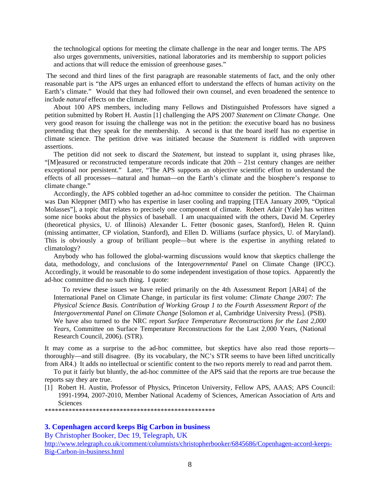the technological options for meeting the climate challenge in the near and longer terms. The APS also urges governments, universities, national laboratories and its membership to support policies and actions that will reduce the emission of greenhouse gases."

 The second and third lines of the first paragraph are reasonable statements of fact, and the only other reasonable part is "the APS urges an enhanced effort to understand the effects of human activity on the Earth's climate." Would that they had followed their own counsel, and even broadened the sentence to include *natural* effects on the climate.

About 100 APS members, including many Fellows and Distinguished Professors have signed a petition submitted by Robert H. Austin [1] challenging the APS 2007 *Statement on Climate Change*. One very good reason for issuing the challenge was not in the petition: the executive board has no business pretending that they speak for the membership. A second is that the board itself has no expertise in climate science. The petition drive was initiated because the *Statement* is riddled with unproven assertions.

The petition did not seek to discard the *Statement*, but instead to supplant it, using phrases like, "[M]easured or reconstructed temperature records indicate that 20th – 21st century changes are neither exceptional nor persistent." Later, "The APS supports an objective scientific effort to understand the effects of all processes—natural and human—on the Earth's climate and the biosphere's response to climate change."

Accordingly, the APS cobbled together an ad-hoc committee to consider the petition. The Chairman was Dan Kleppner (MIT) who has expertise in laser cooling and trapping [TEA January 2009, "Optical Molasses"], a topic that relates to precisely one component of climate. Robert Adair (Yale) has written some nice books about the physics of baseball. I am unacquainted with the others, David M. Ceperley (theoretical physics, U. of Illinois) Alexander L. Fetter (bosonic gases, Stanford), Helen R. Quinn (missing antimatter, CP violation, Stanford), and Ellen D. Williams (surface physics, U. of Maryland). This is obviously a group of brilliant people—but where is the expertise in anything related to climatology?

Anybody who has followed the global-warming discussions would know that skeptics challenge the data, methodology, and conclusions of the Inter*governmental* Panel on Climate Change (IPCC). Accordingly, it would be reasonable to do some independent investigation of those topics. Apparently the ad-hoc committee did no such thing. I quote:

To review these issues we have relied primarily on the 4th Assessment Report [AR4] of the International Panel on Climate Change, in particular its first volume: *Climate Change 2007: The Physical Science Basis. Contribution of Working Group 1 to the Fourth Assessment Report of the Intergovernmental Panel on Climate Change* [Solomon *et* al, Cambridge University Press]. (PSB). We have also turned to the NRC report *Surface Temperature Reconstructions for the Last 2,000 Years*, Committee on Surface Temperature Reconstructions for the Last 2,000 Years, (National Research Council, 2006). (STR).

It may come as a surprise to the ad-hoc committee, but skeptics have also read those reports thoroughly—and still disagree. (By its vocabulary, the NC's STR seems to have been lifted uncritically from AR4.) It adds no intellectual or scientific content to the two reports merely to read and parrot them.

To put it fairly but bluntly, the ad-hoc committee of the APS said that the reports are true because the reports say they are true.

[1] Robert H. Austin, Professor of Physics, Princeton University, Fellow APS, AAAS; APS Council: 1991-1994, 2007-2010, Member National Academy of Sciences, American Association of Arts and Sciences

\*\*\*\*\*\*\*\*\*\*\*\*\*\*\*\*\*\*\*\*\*\*\*\*\*\*\*\*\*\*\*\*\*\*\*\*\*\*\*\*\*\*\*\*\*\*\*\*\*\*

#### **3. Copenhagen accord keeps Big Carbon in business**

By Christopher Booker, Dec 19, Telegraph, UK http://www.telegraph.co.uk/comment/columnists/christopherbooker/6845686/Copenhagen-accord-keeps-Big-Carbon-in-business.html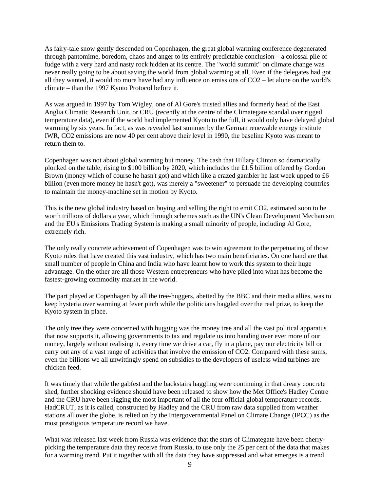As fairy-tale snow gently descended on Copenhagen, the great global warming conference degenerated through pantomime, boredom, chaos and anger to its entirely predictable conclusion – a colossal pile of fudge with a very hard and nasty rock hidden at its centre. The "world summit" on climate change was never really going to be about saving the world from global warming at all. Even if the delegates had got all they wanted, it would no more have had any influence on emissions of CO2 – let alone on the world's climate – than the 1997 Kyoto Protocol before it.

As was argued in 1997 by Tom Wigley, one of Al Gore's trusted allies and formerly head of the East Anglia Climatic Research Unit, or CRU (recently at the centre of the Climategate scandal over rigged temperature data), even if the world had implemented Kyoto to the full, it would only have delayed global warming by six years. In fact, as was revealed last summer by the German renewable energy institute IWR, CO2 emissions are now 40 per cent above their level in 1990, the baseline Kyoto was meant to return them to.

Copenhagen was not about global warming but money. The cash that Hillary Clinton so dramatically plonked on the table, rising to \$100 billion by 2020, which includes the £1.5 billion offered by Gordon Brown (money which of course he hasn't got) and which like a crazed gambler he last week upped to £6 billion (even more money he hasn't got), was merely a "sweetener" to persuade the developing countries to maintain the money-machine set in motion by Kyoto.

This is the new global industry based on buying and selling the right to emit CO2, estimated soon to be worth trillions of dollars a year, which through schemes such as the UN's Clean Development Mechanism and the EU's Emissions Trading System is making a small minority of people, including Al Gore, extremely rich.

The only really concrete achievement of Copenhagen was to win agreement to the perpetuating of those Kyoto rules that have created this vast industry, which has two main beneficiaries. On one hand are that small number of people in China and India who have learnt how to work this system to their huge advantage. On the other are all those Western entrepreneurs who have piled into what has become the fastest-growing commodity market in the world.

The part played at Copenhagen by all the tree-huggers, abetted by the BBC and their media allies, was to keep hysteria over warming at fever pitch while the politicians haggled over the real prize, to keep the Kyoto system in place.

The only tree they were concerned with hugging was the money tree and all the vast political apparatus that now supports it, allowing governments to tax and regulate us into handing over ever more of our money, largely without realising it, every time we drive a car, fly in a plane, pay our electricity bill or carry out any of a vast range of activities that involve the emission of CO2. Compared with these sums, even the billions we all unwittingly spend on subsidies to the developers of useless wind turbines are chicken feed.

It was timely that while the gabfest and the backstairs haggling were continuing in that dreary concrete shed, further shocking evidence should have been released to show how the Met Office's Hadley Centre and the CRU have been rigging the most important of all the four official global temperature records. HadCRUT, as it is called, constructed by Hadley and the CRU from raw data supplied from weather stations all over the globe, is relied on by the Intergovernmental Panel on Climate Change (IPCC) as the most prestigious temperature record we have.

What was released last week from Russia was evidence that the stars of Climategate have been cherrypicking the temperature data they receive from Russia, to use only the 25 per cent of the data that makes for a warming trend. Put it together with all the data they have suppressed and what emerges is a trend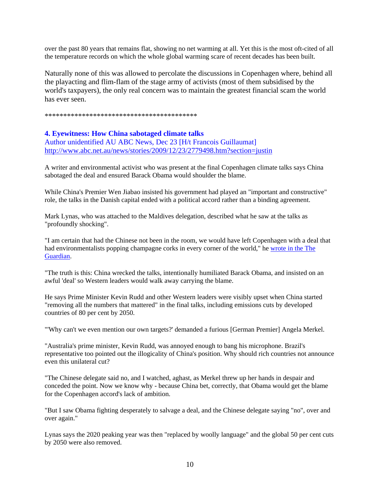over the past 80 years that remains flat, showing no net warming at all. Yet this is the most oft-cited of all the temperature records on which the whole global warming scare of recent decades has been built.

Naturally none of this was allowed to percolate the discussions in Copenhagen where, behind all the playacting and flim-flam of the stage army of activists (most of them subsidised by the world's taxpayers), the only real concern was to maintain the greatest financial scam the world has ever seen.

\*\*\*\*\*\*\*\*\*\*\*\*\*\*\*\*\*\*\*\*\*\*\*\*\*\*\*\*\*\*\*\*\*\*\*\*\*\*\*\*\*

#### **4. Eyewitness: How China sabotaged climate talks**

Author unidentified AU ABC News, Dec 23 [H/t Francois Guillaumat] http://www.abc.net.au/news/stories/2009/12/23/2779498.htm?section=justin

A writer and environmental activist who was present at the final Copenhagen climate talks says China sabotaged the deal and ensured Barack Obama would shoulder the blame.

While China's Premier Wen Jiabao insisted his government had played an "important and constructive" role, the talks in the Danish capital ended with a political accord rather than a binding agreement.

Mark Lynas, who was attached to the Maldives delegation, described what he saw at the talks as "profoundly shocking".

"I am certain that had the Chinese not been in the room, we would have left Copenhagen with a deal that had environmentalists popping champagne corks in every corner of the world," he wrote in the The Guardian.

"The truth is this: China wrecked the talks, intentionally humiliated Barack Obama, and insisted on an awful 'deal' so Western leaders would walk away carrying the blame.

He says Prime Minister Kevin Rudd and other Western leaders were visibly upset when China started "removing all the numbers that mattered" in the final talks, including emissions cuts by developed countries of 80 per cent by 2050.

"'Why can't we even mention our own targets?' demanded a furious [German Premier] Angela Merkel.

"Australia's prime minister, Kevin Rudd, was annoyed enough to bang his microphone. Brazil's representative too pointed out the illogicality of China's position. Why should rich countries not announce even this unilateral cut?

"The Chinese delegate said no, and I watched, aghast, as Merkel threw up her hands in despair and conceded the point. Now we know why - because China bet, correctly, that Obama would get the blame for the Copenhagen accord's lack of ambition.

"But I saw Obama fighting desperately to salvage a deal, and the Chinese delegate saying "no", over and over again."

Lynas says the 2020 peaking year was then "replaced by woolly language" and the global 50 per cent cuts by 2050 were also removed.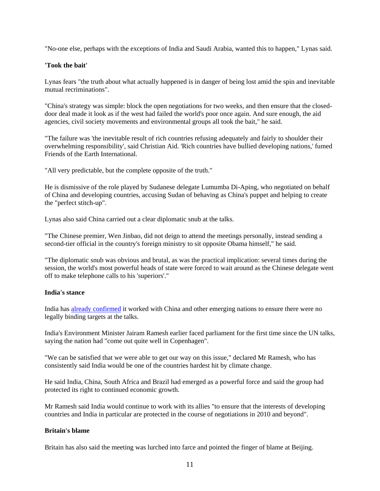"No-one else, perhaps with the exceptions of India and Saudi Arabia, wanted this to happen," Lynas said.

#### **'Took the bait'**

Lynas fears "the truth about what actually happened is in danger of being lost amid the spin and inevitable mutual recriminations".

"China's strategy was simple: block the open negotiations for two weeks, and then ensure that the closeddoor deal made it look as if the west had failed the world's poor once again. And sure enough, the aid agencies, civil society movements and environmental groups all took the bait," he said.

"The failure was 'the inevitable result of rich countries refusing adequately and fairly to shoulder their overwhelming responsibility', said Christian Aid. 'Rich countries have bullied developing nations,' fumed Friends of the Earth International.

"All very predictable, but the complete opposite of the truth."

He is dismissive of the role played by Sudanese delegate Lumumba Di-Aping, who negotiated on behalf of China and developing countries, accusing Sudan of behaving as China's puppet and helping to create the "perfect stitch-up".

Lynas also said China carried out a clear diplomatic snub at the talks.

"The Chinese premier, Wen Jinbao, did not deign to attend the meetings personally, instead sending a second-tier official in the country's foreign ministry to sit opposite Obama himself," he said.

"The diplomatic snub was obvious and brutal, as was the practical implication: several times during the session, the world's most powerful heads of state were forced to wait around as the Chinese delegate went off to make telephone calls to his 'superiors'."

#### **India's stance**

India has already confirmed it worked with China and other emerging nations to ensure there were no legally binding targets at the talks.

India's Environment Minister Jairam Ramesh earlier faced parliament for the first time since the UN talks, saying the nation had "come out quite well in Copenhagen".

"We can be satisfied that we were able to get our way on this issue," declared Mr Ramesh, who has consistently said India would be one of the countries hardest hit by climate change.

He said India, China, South Africa and Brazil had emerged as a powerful force and said the group had protected its right to continued economic growth.

Mr Ramesh said India would continue to work with its allies "to ensure that the interests of developing countries and India in particular are protected in the course of negotiations in 2010 and beyond".

#### **Britain's blame**

Britain has also said the meeting was lurched into farce and pointed the finger of blame at Beijing.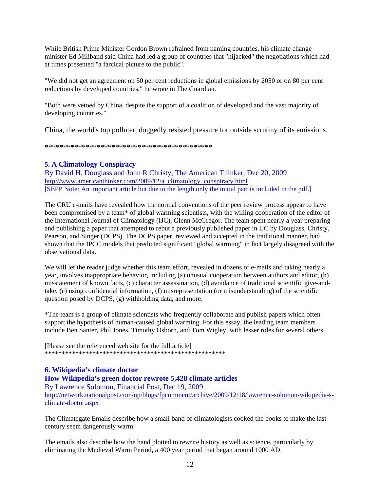While British Prime Minister Gordon Brown refrained from naming countries, his climate change minister Ed Miliband said China had led a group of countries that "hijacked" the negotiations which had at times presented "a farcical picture to the public".

"We did not get an agreement on 50 per cent reductions in global emissions by 2050 or on 80 per cent reductions by developed countries," he wrote in The Guardian.

"Both were vetoed by China, despite the support of a coalition of developed and the vast majority of developing countries."

China, the world's top polluter, doggedly resisted pressure for outside scrutiny of its emissions.

\*\*\*\*\*\*\*\*\*\*\*\*\*\*\*\*\*\*\*\*\*\*\*\*\*\*\*\*\*\*\*\*\*\*\*\*\*\*\*\*\*\*\*\*\*

#### **5. A Climatology Conspiracy**

By David H. Douglass and John R Christy, The American Thinker, Dec 20, 2009 http://www.americanthinker.com/2009/12/a\_climatology\_conspiracy.html [SEPP Note: An important article but due to the length only the initial part is included in the pdf.]

The CRU e-mails have revealed how the normal conventions of the peer review process appear to have been compromised by a team\* of global warming scientists, with the willing cooperation of the editor of the International Journal of Climatology (IJC), Glenn McGregor. The team spent nearly a year preparing and publishing a paper that attempted to rebut a previously published paper in IJC by Douglass, Christy, Pearson, and Singer (DCPS). The DCPS paper, reviewed and accepted in the traditional manner, had shown that the IPCC models that predicted significant "global warming" in fact largely disagreed with the observational data.

We will let the reader judge whether this team effort, revealed in dozens of e-mails and taking nearly a year, involves inappropriate behavior, including (a) unusual cooperation between authors and editor, (b) misstatement of known facts, (c) character assassination, (d) avoidance of traditional scientific give-andtake, (e) using confidential information, (f) misrepresentation (or misunderstanding) of the scientific question posed by DCPS, (g) withholding data, and more.

\*The team is a group of climate scientists who frequently collaborate and publish papers which often support the hypothesis of human-caused global warming. For this essay, the leading team members include Ben Santer, Phil Jones, Timothy Osborn, and Tom Wigley, with lesser roles for several others.

[Please see the referenced web site for the full article] \*\*\*\*\*\*\*\*\*\*\*\*\*\*\*\*\*\*\*\*\*\*\*\*\*\*\*\*\*\*\*\*\*\*\*\*\*\*\*\*\*\*\*\*\*\*\*\*\*\*\*\*\*

### **6. Wikipedia's climate doctor**

#### **How Wikipedia's green doctor rewrote 5,428 climate articles**

By Lawrence Solomon, Financial Post, Dec 19, 2009 http://network.nationalpost.com/np/blogs/fpcomment/archive/2009/12/18/lawrence-solomon-wikipedia-sclimate-doctor.aspx

The Climategate Emails describe how a small band of climatologists cooked the books to make the last century seem dangerously warm.

The emails also describe how the band plotted to rewrite history as well as science, particularly by eliminating the Medieval Warm Period, a 400 year period that began around 1000 AD.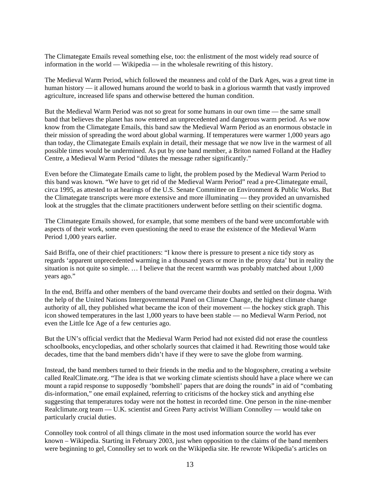The Climategate Emails reveal something else, too: the enlistment of the most widely read source of information in the world — Wikipedia — in the wholesale rewriting of this history.

The Medieval Warm Period, which followed the meanness and cold of the Dark Ages, was a great time in human history — it allowed humans around the world to bask in a glorious warmth that vastly improved agriculture, increased life spans and otherwise bettered the human condition.

But the Medieval Warm Period was not so great for some humans in our own time — the same small band that believes the planet has now entered an unprecedented and dangerous warm period. As we now know from the Climategate Emails, this band saw the Medieval Warm Period as an enormous obstacle in their mission of spreading the word about global warming. If temperatures were warmer 1,000 years ago than today, the Climategate Emails explain in detail, their message that we now live in the warmest of all possible times would be undermined. As put by one band member, a Briton named Folland at the Hadley Centre, a Medieval Warm Period "dilutes the message rather significantly."

Even before the Climategate Emails came to light, the problem posed by the Medieval Warm Period to this band was known. "We have to get rid of the Medieval Warm Period" read a pre-Climategate email, circa 1995, as attested to at hearings of the U.S. Senate Committee on Environment & Public Works. But the Climategate transcripts were more extensive and more illuminating — they provided an unvarnished look at the struggles that the climate practitioners underwent before settling on their scientific dogma.

The Climategate Emails showed, for example, that some members of the band were uncomfortable with aspects of their work, some even questioning the need to erase the existence of the Medieval Warm Period 1,000 years earlier.

Said Briffa, one of their chief practitioners: "I know there is pressure to present a nice tidy story as regards 'apparent unprecedented warming in a thousand years or more in the proxy data' but in reality the situation is not quite so simple. … I believe that the recent warmth was probably matched about 1,000 years ago."

In the end, Briffa and other members of the band overcame their doubts and settled on their dogma. With the help of the United Nations Intergovernmental Panel on Climate Change, the highest climate change authority of all, they published what became the icon of their movement — the hockey stick graph. This icon showed temperatures in the last 1,000 years to have been stable — no Medieval Warm Period, not even the Little Ice Age of a few centuries ago.

But the UN's official verdict that the Medieval Warm Period had not existed did not erase the countless schoolbooks, encyclopedias, and other scholarly sources that claimed it had. Rewriting those would take decades, time that the band members didn't have if they were to save the globe from warming.

Instead, the band members turned to their friends in the media and to the blogosphere, creating a website called RealClimate.org. "The idea is that we working climate scientists should have a place where we can mount a rapid response to supposedly 'bombshell' papers that are doing the rounds" in aid of "combating dis-information," one email explained, referring to criticisms of the hockey stick and anything else suggesting that temperatures today were not the hottest in recorded time. One person in the nine-member Realclimate.org team — U.K. scientist and Green Party activist William Connolley — would take on particularly crucial duties.

Connolley took control of all things climate in the most used information source the world has ever known – Wikipedia. Starting in February 2003, just when opposition to the claims of the band members were beginning to gel, Connolley set to work on the Wikipedia site. He rewrote Wikipedia's articles on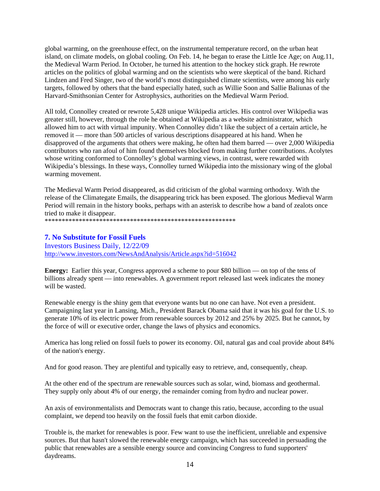global warming, on the greenhouse effect, on the instrumental temperature record, on the urban heat island, on climate models, on global cooling. On Feb. 14, he began to erase the Little Ice Age; on Aug.11, the Medieval Warm Period. In October, he turned his attention to the hockey stick graph. He rewrote articles on the politics of global warming and on the scientists who were skeptical of the band. Richard Lindzen and Fred Singer, two of the world's most distinguished climate scientists, were among his early targets, followed by others that the band especially hated, such as Willie Soon and Sallie Baliunas of the Harvard-Smithsonian Center for Astrophysics, authorities on the Medieval Warm Period.

All told, Connolley created or rewrote 5,428 unique Wikipedia articles. His control over Wikipedia was greater still, however, through the role he obtained at Wikipedia as a website administrator, which allowed him to act with virtual impunity. When Connolley didn't like the subject of a certain article, he removed it — more than 500 articles of various descriptions disappeared at his hand. When he disapproved of the arguments that others were making, he often had them barred — over 2,000 Wikipedia contributors who ran afoul of him found themselves blocked from making further contributions. Acolytes whose writing conformed to Connolley's global warming views, in contrast, were rewarded with Wikipedia's blessings. In these ways, Connolley turned Wikipedia into the missionary wing of the global warming movement.

The Medieval Warm Period disappeared, as did criticism of the global warming orthodoxy. With the release of the Climategate Emails, the disappearing trick has been exposed. The glorious Medieval Warm Period will remain in the history books, perhaps with an asterisk to describe how a band of zealots once tried to make it disappear.

\*\*\*\*\*\*\*\*\*\*\*\*\*\*\*\*\*\*\*\*\*\*\*\*\*\*\*\*\*\*\*\*\*\*\*\*\*\*\*\*\*\*\*\*\*\*\*\*\*\*\*\*\*\*\*\*

#### **7. No Substitute for Fossil Fuels**

Investors Business Daily, 12/22/09 http://www.investors.com/NewsAndAnalysis/Article.aspx?id=516042

**Energy:** Earlier this year, Congress approved a scheme to pour \$80 billion — on top of the tens of billions already spent — into renewables. A government report released last week indicates the money will be wasted.

Renewable energy is the shiny gem that everyone wants but no one can have. Not even a president. Campaigning last year in Lansing, Mich., President Barack Obama said that it was his goal for the U.S. to generate 10% of its electric power from renewable sources by 2012 and 25% by 2025. But he cannot, by the force of will or executive order, change the laws of physics and economics.

America has long relied on fossil fuels to power its economy. Oil, natural gas and coal provide about 84% of the nation's energy.

And for good reason. They are plentiful and typically easy to retrieve, and, consequently, cheap.

At the other end of the spectrum are renewable sources such as solar, wind, biomass and geothermal. They supply only about 4% of our energy, the remainder coming from hydro and nuclear power.

An axis of environmentalists and Democrats want to change this ratio, because, according to the usual complaint, we depend too heavily on the fossil fuels that emit carbon dioxide.

Trouble is, the market for renewables is poor. Few want to use the inefficient, unreliable and expensive sources. But that hasn't slowed the renewable energy campaign, which has succeeded in persuading the public that renewables are a sensible energy source and convincing Congress to fund supporters' daydreams.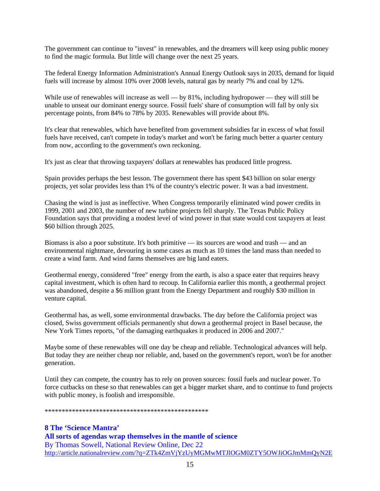The government can continue to "invest" in renewables, and the dreamers will keep using public money to find the magic formula. But little will change over the next 25 years.

The federal Energy Information Administration's Annual Energy Outlook says in 2035, demand for liquid fuels will increase by almost 10% over 2008 levels, natural gas by nearly 7% and coal by 12%.

While use of renewables will increase as well — by 81%, including hydropower — they will still be unable to unseat our dominant energy source. Fossil fuels' share of consumption will fall by only six percentage points, from 84% to 78% by 2035. Renewables will provide about 8%.

It's clear that renewables, which have benefited from government subsidies far in excess of what fossil fuels have received, can't compete in today's market and won't be faring much better a quarter century from now, according to the government's own reckoning.

It's just as clear that throwing taxpayers' dollars at renewables has produced little progress.

Spain provides perhaps the best lesson. The government there has spent \$43 billion on solar energy projects, yet solar provides less than 1% of the country's electric power. It was a bad investment.

Chasing the wind is just as ineffective. When Congress temporarily eliminated wind power credits in 1999, 2001 and 2003, the number of new turbine projects fell sharply. The Texas Public Policy Foundation says that providing a modest level of wind power in that state would cost taxpayers at least \$60 billion through 2025.

Biomass is also a poor substitute. It's both primitive — its sources are wood and trash — and an environmental nightmare, devouring in some cases as much as 10 times the land mass than needed to create a wind farm. And wind farms themselves are big land eaters.

Geothermal energy, considered "free" energy from the earth, is also a space eater that requires heavy capital investment, which is often hard to recoup. In California earlier this month, a geothermal project was abandoned, despite a \$6 million grant from the Energy Department and roughly \$30 million in venture capital.

Geothermal has, as well, some environmental drawbacks. The day before the California project was closed, Swiss government officials permanently shut down a geothermal project in Basel because, the New York Times reports, "of the damaging earthquakes it produced in 2006 and 2007."

Maybe some of these renewables will one day be cheap and reliable. Technological advances will help. But today they are neither cheap nor reliable, and, based on the government's report, won't be for another generation.

Until they can compete, the country has to rely on proven sources: fossil fuels and nuclear power. To force cutbacks on these so that renewables can get a bigger market share, and to continue to fund projects with public money, is foolish and irresponsible.

\*\*\*\*\*\*\*\*\*\*\*\*\*\*\*\*\*\*\*\*\*\*\*\*\*\*\*\*\*\*\*\*\*\*\*\*\*\*\*\*\*\*\*\*\*\*\*\*

**8 The 'Science Mantra'** 

**All sorts of agendas wrap themselves in the mantle of science**  By Thomas Sowell, National Review Online, Dec 22 http://article.nationalreview.com/?q=ZTk4ZmVjYzUyMGMwMTJlOGM0ZTY5OWJiOGJmMmQyN2E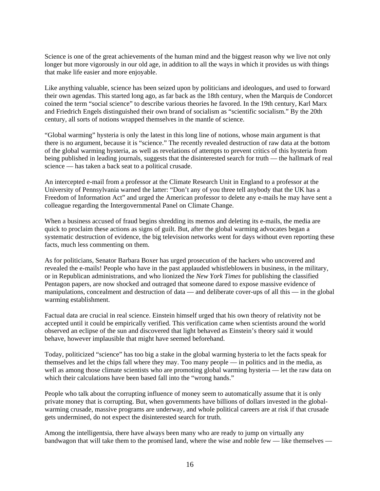Science is one of the great achievements of the human mind and the biggest reason why we live not only longer but more vigorously in our old age, in addition to all the ways in which it provides us with things that make life easier and more enjoyable.

Like anything valuable, science has been seized upon by politicians and ideologues, and used to forward their own agendas. This started long ago, as far back as the 18th century, when the Marquis de Condorcet coined the term "social science" to describe various theories he favored. In the 19th century, Karl Marx and Friedrich Engels distinguished their own brand of socialism as "scientific socialism." By the 20th century, all sorts of notions wrapped themselves in the mantle of science.

"Global warming" hysteria is only the latest in this long line of notions, whose main argument is that there is no argument, because it is "science." The recently revealed destruction of raw data at the bottom of the global warming hysteria, as well as revelations of attempts to prevent critics of this hysteria from being published in leading journals, suggests that the disinterested search for truth — the hallmark of real science — has taken a back seat to a political crusade.

An intercepted e-mail from a professor at the Climate Research Unit in England to a professor at the University of Pennsylvania warned the latter: "Don't any of you three tell anybody that the UK has a Freedom of Information Act" and urged the American professor to delete any e-mails he may have sent a colleague regarding the Intergovernmental Panel on Climate Change.

When a business accused of fraud begins shredding its memos and deleting its e-mails, the media are quick to proclaim these actions as signs of guilt. But, after the global warming advocates began a systematic destruction of evidence, the big television networks went for days without even reporting these facts, much less commenting on them.

As for politicians, Senator Barbara Boxer has urged prosecution of the hackers who uncovered and revealed the e-mails! People who have in the past applauded whistleblowers in business, in the military, or in Republican administrations, and who lionized the *New York Times* for publishing the classified Pentagon papers, are now shocked and outraged that someone dared to expose massive evidence of manipulations, concealment and destruction of data — and deliberate cover-ups of all this — in the global warming establishment.

Factual data are crucial in real science. Einstein himself urged that his own theory of relativity not be accepted until it could be empirically verified. This verification came when scientists around the world observed an eclipse of the sun and discovered that light behaved as Einstein's theory said it would behave, however implausible that might have seemed beforehand.

Today, politicized "science" has too big a stake in the global warming hysteria to let the facts speak for themselves and let the chips fall where they may. Too many people — in politics and in the media, as well as among those climate scientists who are promoting global warming hysteria — let the raw data on which their calculations have been based fall into the "wrong hands."

People who talk about the corrupting influence of money seem to automatically assume that it is only private money that is corrupting. But, when governments have billions of dollars invested in the globalwarming crusade, massive programs are underway, and whole political careers are at risk if that crusade gets undermined, do not expect the disinterested search for truth.

Among the intelligentsia, there have always been many who are ready to jump on virtually any bandwagon that will take them to the promised land, where the wise and noble few — like themselves —